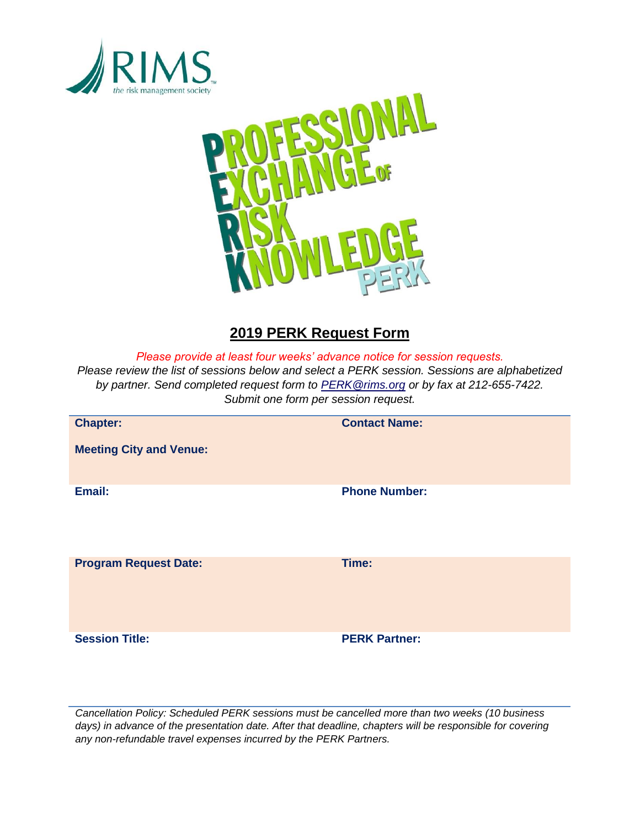



# **2019 PERK Request Form**

*Please provide at least four weeks' advance notice for session requests.*

*Please review the list of sessions below and select a PERK session. Sessions are alphabetized by partner. Send completed request form to [PERK@rims.org](mailto:PERK@rims.org) or by fax at 212-655-7422. Submit one form per session request.*

| <b>Chapter:</b>                | <b>Contact Name:</b> |
|--------------------------------|----------------------|
| <b>Meeting City and Venue:</b> |                      |
| Email:                         | <b>Phone Number:</b> |
| <b>Program Request Date:</b>   | Time:                |
| <b>Session Title:</b>          | <b>PERK Partner:</b> |

*Cancellation Policy: Scheduled PERK sessions must be cancelled more than two weeks (10 business days) in advance of the presentation date. After that deadline, chapters will be responsible for covering any non-refundable travel expenses incurred by the PERK Partners.*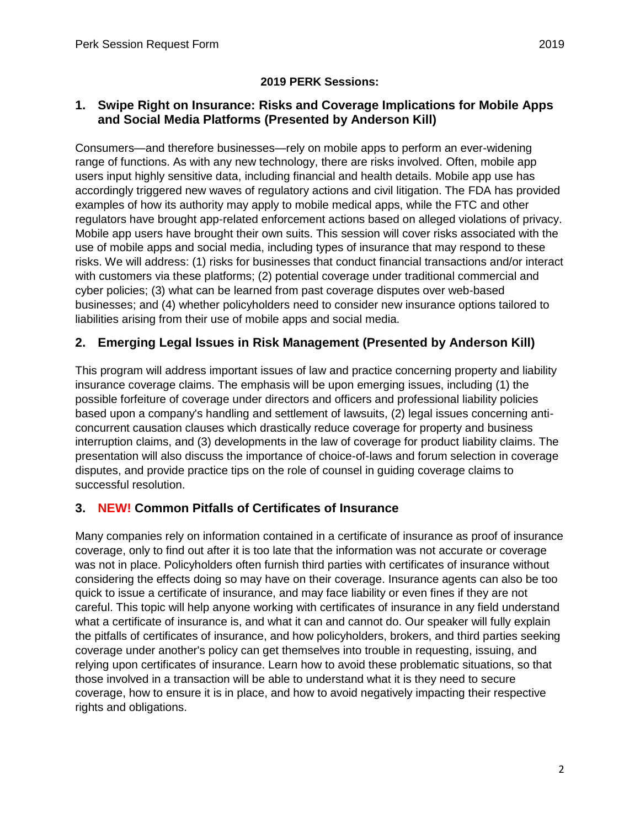## **1. Swipe Right on Insurance: Risks and Coverage Implications for Mobile Apps and Social Media Platforms (Presented by Anderson Kill)**

Consumers—and therefore businesses—rely on mobile apps to perform an ever-widening range of functions. As with any new technology, there are risks involved. Often, mobile app users input highly sensitive data, including financial and health details. Mobile app use has accordingly triggered new waves of regulatory actions and civil litigation. The FDA has provided examples of how its authority may apply to mobile medical apps, while the FTC and other regulators have brought app-related enforcement actions based on alleged violations of privacy. Mobile app users have brought their own suits. This session will cover risks associated with the use of mobile apps and social media, including types of insurance that may respond to these risks. We will address: (1) risks for businesses that conduct financial transactions and/or interact with customers via these platforms; (2) potential coverage under traditional commercial and cyber policies; (3) what can be learned from past coverage disputes over web-based businesses; and (4) whether policyholders need to consider new insurance options tailored to liabilities arising from their use of mobile apps and social media.

# **2. Emerging Legal Issues in Risk Management (Presented by Anderson Kill)**

This program will address important issues of law and practice concerning property and liability insurance coverage claims. The emphasis will be upon emerging issues, including (1) the possible forfeiture of coverage under directors and officers and professional liability policies based upon a company's handling and settlement of lawsuits, (2) legal issues concerning anticoncurrent causation clauses which drastically reduce coverage for property and business interruption claims, and (3) developments in the law of coverage for product liability claims. The presentation will also discuss the importance of choice-of-laws and forum selection in coverage disputes, and provide practice tips on the role of counsel in guiding coverage claims to successful resolution.

## **3. NEW! Common Pitfalls of Certificates of Insurance**

Many companies rely on information contained in a certificate of insurance as proof of insurance coverage, only to find out after it is too late that the information was not accurate or coverage was not in place. Policyholders often furnish third parties with certificates of insurance without considering the effects doing so may have on their coverage. Insurance agents can also be too quick to issue a certificate of insurance, and may face liability or even fines if they are not careful. This topic will help anyone working with certificates of insurance in any field understand what a certificate of insurance is, and what it can and cannot do. Our speaker will fully explain the pitfalls of certificates of insurance, and how policyholders, brokers, and third parties seeking coverage under another's policy can get themselves into trouble in requesting, issuing, and relying upon certificates of insurance. Learn how to avoid these problematic situations, so that those involved in a transaction will be able to understand what it is they need to secure coverage, how to ensure it is in place, and how to avoid negatively impacting their respective rights and obligations.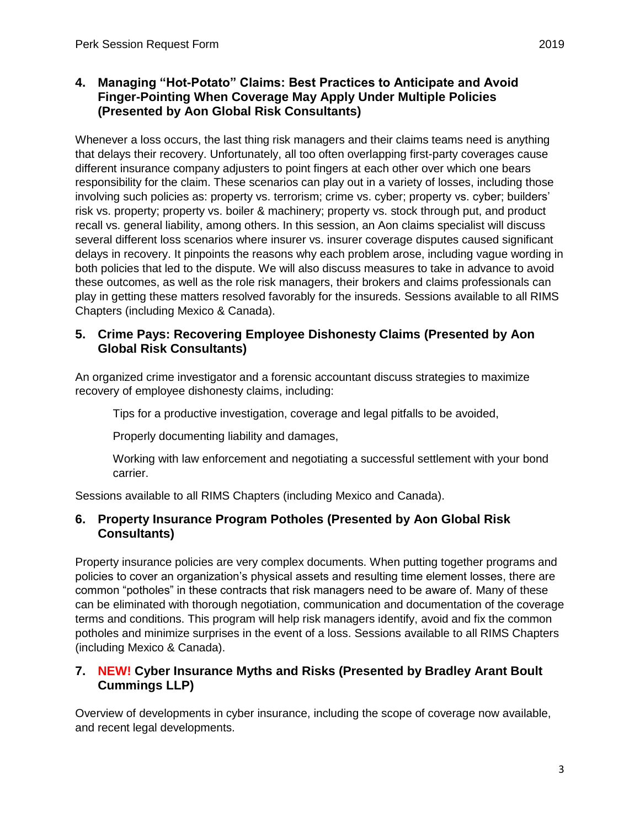#### **4. Managing "Hot-Potato" Claims: Best Practices to Anticipate and Avoid Finger-Pointing When Coverage May Apply Under Multiple Policies (Presented by Aon Global Risk Consultants)**

Whenever a loss occurs, the last thing risk managers and their claims teams need is anything that delays their recovery. Unfortunately, all too often overlapping first-party coverages cause different insurance company adjusters to point fingers at each other over which one bears responsibility for the claim. These scenarios can play out in a variety of losses, including those involving such policies as: property vs. terrorism; crime vs. cyber; property vs. cyber; builders' risk vs. property; property vs. boiler & machinery; property vs. stock through put, and product recall vs. general liability, among others. In this session, an Aon claims specialist will discuss several different loss scenarios where insurer vs. insurer coverage disputes caused significant delays in recovery. It pinpoints the reasons why each problem arose, including vague wording in both policies that led to the dispute. We will also discuss measures to take in advance to avoid these outcomes, as well as the role risk managers, their brokers and claims professionals can play in getting these matters resolved favorably for the insureds. Sessions available to all RIMS Chapters (including Mexico & Canada).

#### **5. Crime Pays: Recovering Employee Dishonesty Claims (Presented by Aon Global Risk Consultants)**

An organized crime investigator and a forensic accountant discuss strategies to maximize recovery of employee dishonesty claims, including:

Tips for a productive investigation, coverage and legal pitfalls to be avoided,

Properly documenting liability and damages,

Working with law enforcement and negotiating a successful settlement with your bond carrier.

Sessions available to all RIMS Chapters (including Mexico and Canada).

#### **6. Property Insurance Program Potholes (Presented by Aon Global Risk Consultants)**

Property insurance policies are very complex documents. When putting together programs and policies to cover an organization's physical assets and resulting time element losses, there are common "potholes" in these contracts that risk managers need to be aware of. Many of these can be eliminated with thorough negotiation, communication and documentation of the coverage terms and conditions. This program will help risk managers identify, avoid and fix the common potholes and minimize surprises in the event of a loss. Sessions available to all RIMS Chapters (including Mexico & Canada).

#### **7. NEW! Cyber Insurance Myths and Risks (Presented by Bradley Arant Boult Cummings LLP)**

Overview of developments in cyber insurance, including the scope of coverage now available, and recent legal developments.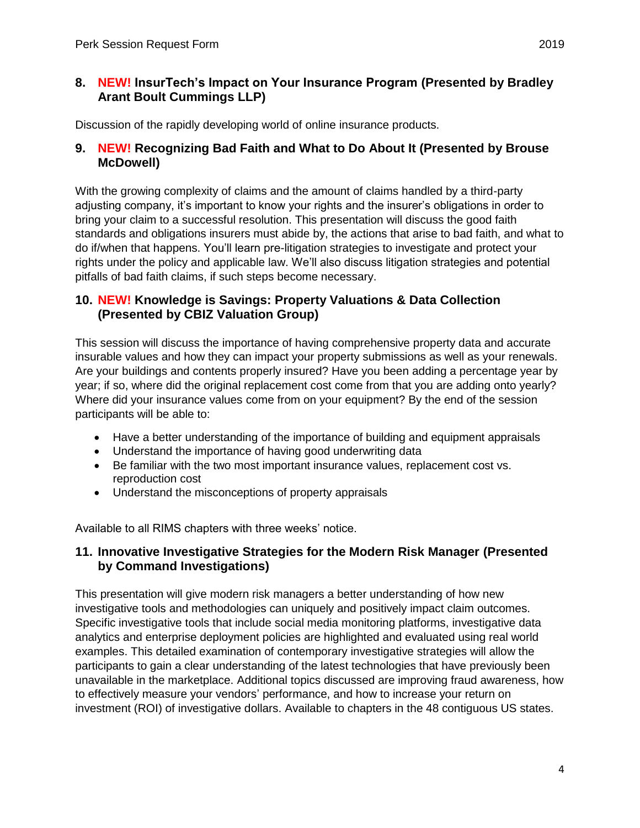#### **8. NEW! InsurTech's Impact on Your Insurance Program (Presented by Bradley Arant Boult Cummings LLP)**

Discussion of the rapidly developing world of online insurance products.

#### **9. NEW! Recognizing Bad Faith and What to Do About It (Presented by Brouse McDowell)**

With the growing complexity of claims and the amount of claims handled by a third-party adjusting company, it's important to know your rights and the insurer's obligations in order to bring your claim to a successful resolution. This presentation will discuss the good faith standards and obligations insurers must abide by, the actions that arise to bad faith, and what to do if/when that happens. You'll learn pre-litigation strategies to investigate and protect your rights under the policy and applicable law. We'll also discuss litigation strategies and potential pitfalls of bad faith claims, if such steps become necessary.

#### **10. NEW! Knowledge is Savings: Property Valuations & Data Collection (Presented by CBIZ Valuation Group)**

This session will discuss the importance of having comprehensive property data and accurate insurable values and how they can impact your property submissions as well as your renewals. Are your buildings and contents properly insured? Have you been adding a percentage year by year; if so, where did the original replacement cost come from that you are adding onto yearly? Where did your insurance values come from on your equipment? By the end of the session participants will be able to:

- Have a better understanding of the importance of building and equipment appraisals
- Understand the importance of having good underwriting data
- Be familiar with the two most important insurance values, replacement cost vs. reproduction cost
- Understand the misconceptions of property appraisals

Available to all RIMS chapters with three weeks' notice.

## **11. Innovative Investigative Strategies for the Modern Risk Manager (Presented by Command Investigations)**

This presentation will give modern risk managers a better understanding of how new investigative tools and methodologies can uniquely and positively impact claim outcomes. Specific investigative tools that include social media monitoring platforms, investigative data analytics and enterprise deployment policies are highlighted and evaluated using real world examples. This detailed examination of contemporary investigative strategies will allow the participants to gain a clear understanding of the latest technologies that have previously been unavailable in the marketplace. Additional topics discussed are improving fraud awareness, how to effectively measure your vendors' performance, and how to increase your return on investment (ROI) of investigative dollars. Available to chapters in the 48 contiguous US states.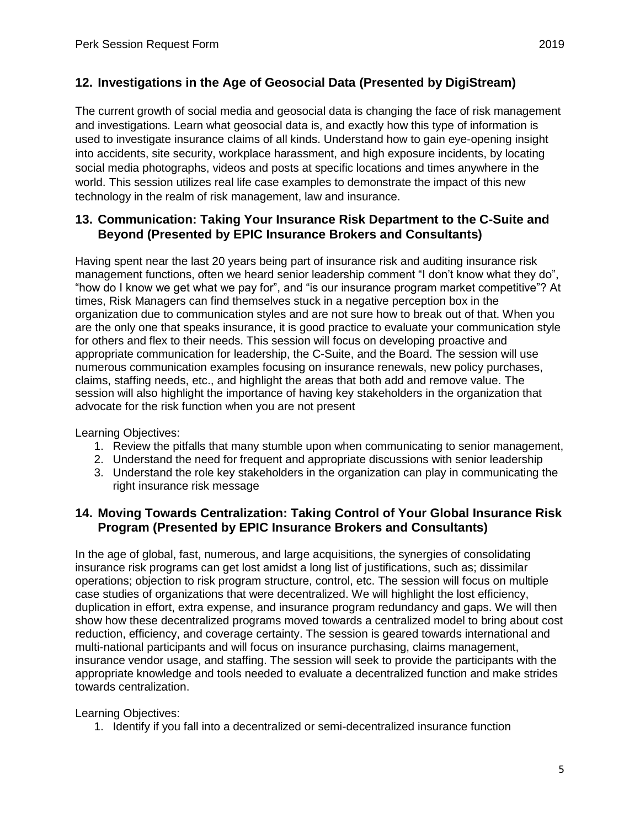# **12. Investigations in the Age of Geosocial Data (Presented by DigiStream)**

The current growth of social media and geosocial data is changing the face of risk management and investigations. Learn what geosocial data is, and exactly how this type of information is used to investigate insurance claims of all kinds. Understand how to gain eye-opening insight into accidents, site security, workplace harassment, and high exposure incidents, by locating social media photographs, videos and posts at specific locations and times anywhere in the world. This session utilizes real life case examples to demonstrate the impact of this new technology in the realm of risk management, law and insurance.

#### **13. Communication: Taking Your Insurance Risk Department to the C-Suite and Beyond (Presented by EPIC Insurance Brokers and Consultants)**

Having spent near the last 20 years being part of insurance risk and auditing insurance risk management functions, often we heard senior leadership comment "I don't know what they do", "how do I know we get what we pay for", and "is our insurance program market competitive"? At times, Risk Managers can find themselves stuck in a negative perception box in the organization due to communication styles and are not sure how to break out of that. When you are the only one that speaks insurance, it is good practice to evaluate your communication style for others and flex to their needs. This session will focus on developing proactive and appropriate communication for leadership, the C-Suite, and the Board. The session will use numerous communication examples focusing on insurance renewals, new policy purchases, claims, staffing needs, etc., and highlight the areas that both add and remove value. The session will also highlight the importance of having key stakeholders in the organization that advocate for the risk function when you are not present

Learning Objectives:

- 1. Review the pitfalls that many stumble upon when communicating to senior management,
- 2. Understand the need for frequent and appropriate discussions with senior leadership
- 3. Understand the role key stakeholders in the organization can play in communicating the right insurance risk message

#### **14. Moving Towards Centralization: Taking Control of Your Global Insurance Risk Program (Presented by EPIC Insurance Brokers and Consultants)**

In the age of global, fast, numerous, and large acquisitions, the synergies of consolidating insurance risk programs can get lost amidst a long list of justifications, such as; dissimilar operations; objection to risk program structure, control, etc. The session will focus on multiple case studies of organizations that were decentralized. We will highlight the lost efficiency, duplication in effort, extra expense, and insurance program redundancy and gaps. We will then show how these decentralized programs moved towards a centralized model to bring about cost reduction, efficiency, and coverage certainty. The session is geared towards international and multi-national participants and will focus on insurance purchasing, claims management, insurance vendor usage, and staffing. The session will seek to provide the participants with the appropriate knowledge and tools needed to evaluate a decentralized function and make strides towards centralization.

Learning Objectives:

1. Identify if you fall into a decentralized or semi-decentralized insurance function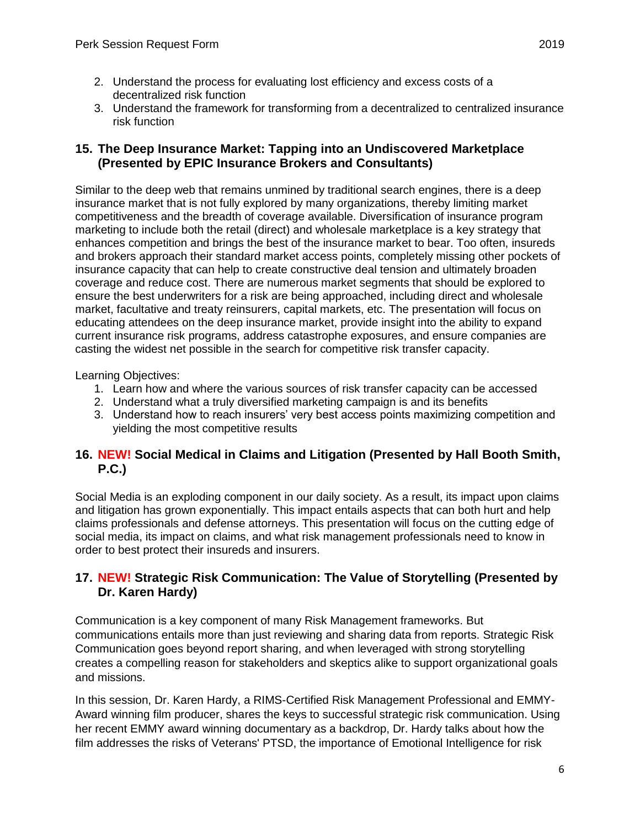- 2. Understand the process for evaluating lost efficiency and excess costs of a decentralized risk function
- 3. Understand the framework for transforming from a decentralized to centralized insurance risk function

#### **15. The Deep Insurance Market: Tapping into an Undiscovered Marketplace (Presented by EPIC Insurance Brokers and Consultants)**

Similar to the deep web that remains unmined by traditional search engines, there is a deep insurance market that is not fully explored by many organizations, thereby limiting market competitiveness and the breadth of coverage available. Diversification of insurance program marketing to include both the retail (direct) and wholesale marketplace is a key strategy that enhances competition and brings the best of the insurance market to bear. Too often, insureds and brokers approach their standard market access points, completely missing other pockets of insurance capacity that can help to create constructive deal tension and ultimately broaden coverage and reduce cost. There are numerous market segments that should be explored to ensure the best underwriters for a risk are being approached, including direct and wholesale market, facultative and treaty reinsurers, capital markets, etc. The presentation will focus on educating attendees on the deep insurance market, provide insight into the ability to expand current insurance risk programs, address catastrophe exposures, and ensure companies are casting the widest net possible in the search for competitive risk transfer capacity.

Learning Objectives:

- 1. Learn how and where the various sources of risk transfer capacity can be accessed
- 2. Understand what a truly diversified marketing campaign is and its benefits
- 3. Understand how to reach insurers' very best access points maximizing competition and yielding the most competitive results

## **16. NEW! Social Medical in Claims and Litigation (Presented by Hall Booth Smith, P.C.)**

Social Media is an exploding component in our daily society. As a result, its impact upon claims and litigation has grown exponentially. This impact entails aspects that can both hurt and help claims professionals and defense attorneys. This presentation will focus on the cutting edge of social media, its impact on claims, and what risk management professionals need to know in order to best protect their insureds and insurers.

## **17. NEW! Strategic Risk Communication: The Value of Storytelling (Presented by Dr. Karen Hardy)**

Communication is a key component of many Risk Management frameworks. But communications entails more than just reviewing and sharing data from reports. Strategic Risk Communication goes beyond report sharing, and when leveraged with strong storytelling creates a compelling reason for stakeholders and skeptics alike to support organizational goals and missions.

In this session, Dr. Karen Hardy, a RIMS-Certified Risk Management Professional and EMMY-Award winning film producer, shares the keys to successful strategic risk communication. Using her recent EMMY award winning documentary as a backdrop, Dr. Hardy talks about how the film addresses the risks of Veterans' PTSD, the importance of Emotional Intelligence for risk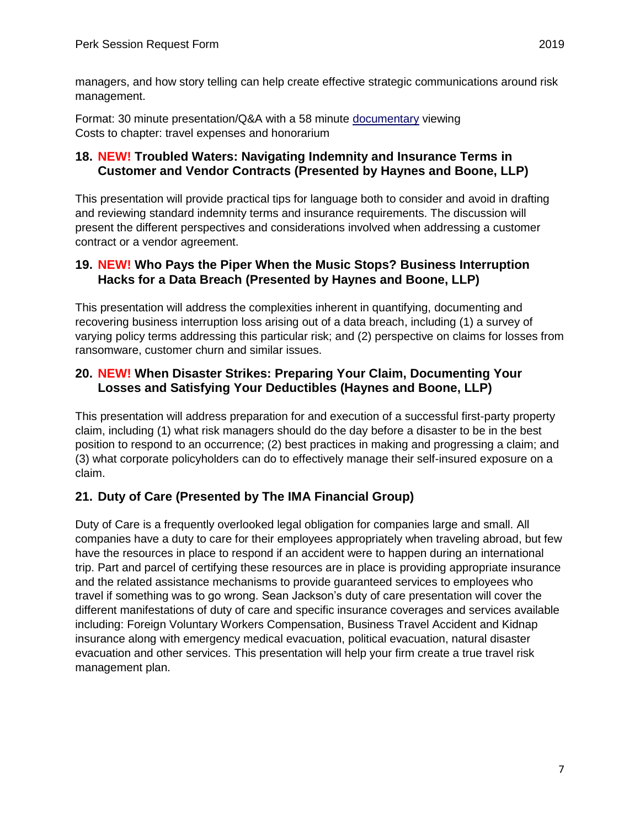managers, and how story telling can help create effective strategic communications around risk management.

Format: 30 minute presentation/Q&A with a 58 minute [documentary](https://www.imdb.com/title/tt8667750/videoplayer/vi1758509849) viewing Costs to chapter: travel expenses and honorarium

#### **18. NEW! Troubled Waters: Navigating Indemnity and Insurance Terms in Customer and Vendor Contracts (Presented by Haynes and Boone, LLP)**

This presentation will provide practical tips for language both to consider and avoid in drafting and reviewing standard indemnity terms and insurance requirements. The discussion will present the different perspectives and considerations involved when addressing a customer contract or a vendor agreement.

#### **19. NEW! Who Pays the Piper When the Music Stops? Business Interruption Hacks for a Data Breach (Presented by Haynes and Boone, LLP)**

This presentation will address the complexities inherent in quantifying, documenting and recovering business interruption loss arising out of a data breach, including (1) a survey of varying policy terms addressing this particular risk; and (2) perspective on claims for losses from ransomware, customer churn and similar issues.

#### **20. NEW! When Disaster Strikes: Preparing Your Claim, Documenting Your Losses and Satisfying Your Deductibles (Haynes and Boone, LLP)**

This presentation will address preparation for and execution of a successful first-party property claim, including (1) what risk managers should do the day before a disaster to be in the best position to respond to an occurrence; (2) best practices in making and progressing a claim; and (3) what corporate policyholders can do to effectively manage their self-insured exposure on a claim.

## **21. Duty of Care (Presented by The IMA Financial Group)**

Duty of Care is a frequently overlooked legal obligation for companies large and small. All companies have a duty to care for their employees appropriately when traveling abroad, but few have the resources in place to respond if an accident were to happen during an international trip. Part and parcel of certifying these resources are in place is providing appropriate insurance and the related assistance mechanisms to provide guaranteed services to employees who travel if something was to go wrong. Sean Jackson's duty of care presentation will cover the different manifestations of duty of care and specific insurance coverages and services available including: Foreign Voluntary Workers Compensation, Business Travel Accident and Kidnap insurance along with emergency medical evacuation, political evacuation, natural disaster evacuation and other services. This presentation will help your firm create a true travel risk management plan.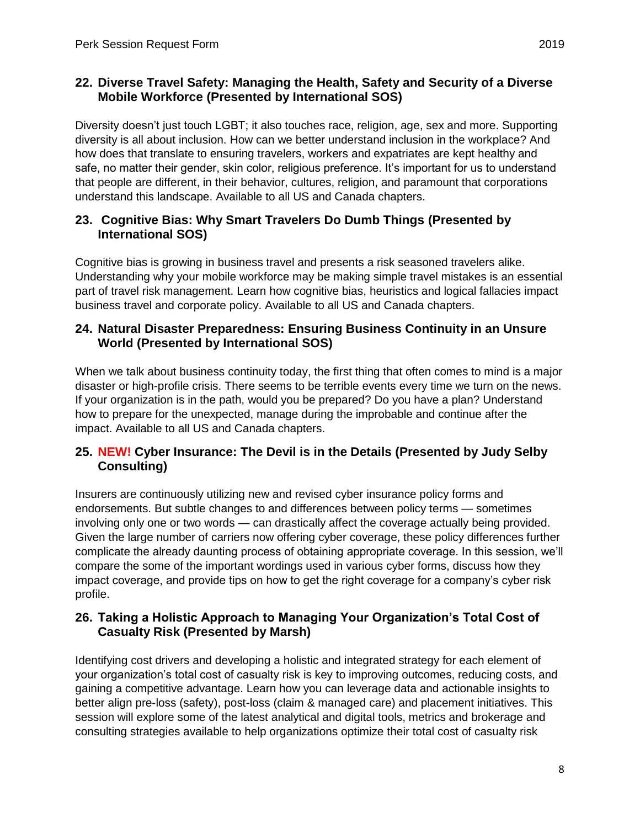Diversity doesn't just touch LGBT; it also touches race, religion, age, sex and more. Supporting diversity is all about inclusion. How can we better understand inclusion in the workplace? And how does that translate to ensuring travelers, workers and expatriates are kept healthy and safe, no matter their gender, skin color, religious preference. It's important for us to understand that people are different, in their behavior, cultures, religion, and paramount that corporations understand this landscape. Available to all US and Canada chapters.

# **23. Cognitive Bias: Why Smart Travelers Do Dumb Things (Presented by International SOS)**

Cognitive bias is growing in business travel and presents a risk seasoned travelers alike. Understanding why your mobile workforce may be making simple travel mistakes is an essential part of travel risk management. Learn how cognitive bias, heuristics and logical fallacies impact business travel and corporate policy. Available to all US and Canada chapters.

## **24. Natural Disaster Preparedness: Ensuring Business Continuity in an Unsure World (Presented by International SOS)**

When we talk about business continuity today, the first thing that often comes to mind is a major disaster or high-profile crisis. There seems to be terrible events every time we turn on the news. If your organization is in the path, would you be prepared? Do you have a plan? Understand how to prepare for the unexpected, manage during the improbable and continue after the impact. Available to all US and Canada chapters.

## **25. NEW! Cyber Insurance: The Devil is in the Details (Presented by Judy Selby Consulting)**

Insurers are continuously utilizing new and revised cyber insurance policy forms and endorsements. But subtle changes to and differences between policy terms — sometimes involving only one or two words — can drastically affect the coverage actually being provided. Given the large number of carriers now offering cyber coverage, these policy differences further complicate the already daunting process of obtaining appropriate coverage. In this session, we'll compare the some of the important wordings used in various cyber forms, discuss how they impact coverage, and provide tips on how to get the right coverage for a company's cyber risk profile.

## **26. Taking a Holistic Approach to Managing Your Organization's Total Cost of Casualty Risk (Presented by Marsh)**

Identifying cost drivers and developing a holistic and integrated strategy for each element of your organization's total cost of casualty risk is key to improving outcomes, reducing costs, and gaining a competitive advantage. Learn how you can leverage data and actionable insights to better align pre-loss (safety), post-loss (claim & managed care) and placement initiatives. This session will explore some of the latest analytical and digital tools, metrics and brokerage and consulting strategies available to help organizations optimize their total cost of casualty risk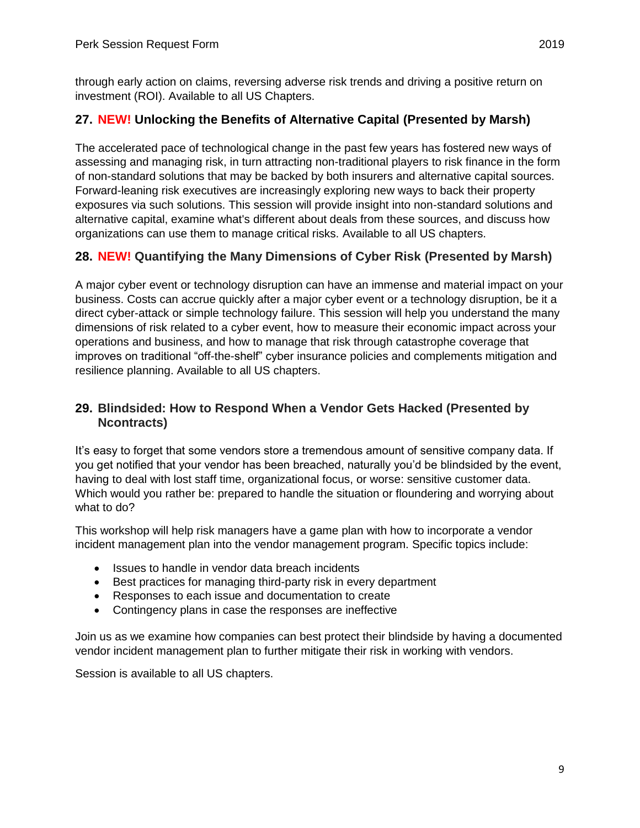through early action on claims, reversing adverse risk trends and driving a positive return on investment (ROI). Available to all US Chapters.

#### **27. NEW! Unlocking the Benefits of Alternative Capital (Presented by Marsh)**

The accelerated pace of technological change in the past few years has fostered new ways of assessing and managing risk, in turn attracting non-traditional players to risk finance in the form of non-standard solutions that may be backed by both insurers and alternative capital sources. Forward-leaning risk executives are increasingly exploring new ways to back their property exposures via such solutions. This session will provide insight into non-standard solutions and alternative capital, examine what's different about deals from these sources, and discuss how organizations can use them to manage critical risks. Available to all US chapters.

#### **28. NEW! Quantifying the Many Dimensions of Cyber Risk (Presented by Marsh)**

A major cyber event or technology disruption can have an immense and material impact on your business. Costs can accrue quickly after a major cyber event or a technology disruption, be it a direct cyber-attack or simple technology failure. This session will help you understand the many dimensions of risk related to a cyber event, how to measure their economic impact across your operations and business, and how to manage that risk through catastrophe coverage that improves on traditional "off-the-shelf" cyber insurance policies and complements mitigation and resilience planning. Available to all US chapters.

#### **29. Blindsided: How to Respond When a Vendor Gets Hacked (Presented by Ncontracts)**

It's easy to forget that some vendors store a tremendous amount of sensitive company data. If you get notified that your vendor has been breached, naturally you'd be blindsided by the event, having to deal with lost staff time, organizational focus, or worse: sensitive customer data. Which would you rather be: prepared to handle the situation or floundering and worrying about what to do?

This workshop will help risk managers have a game plan with how to incorporate a vendor incident management plan into the vendor management program. Specific topics include:

- Issues to handle in vendor data breach incidents
- Best practices for managing third-party risk in every department
- Responses to each issue and documentation to create
- Contingency plans in case the responses are ineffective

Join us as we examine how companies can best protect their blindside by having a documented vendor incident management plan to further mitigate their risk in working with vendors.

Session is available to all US chapters.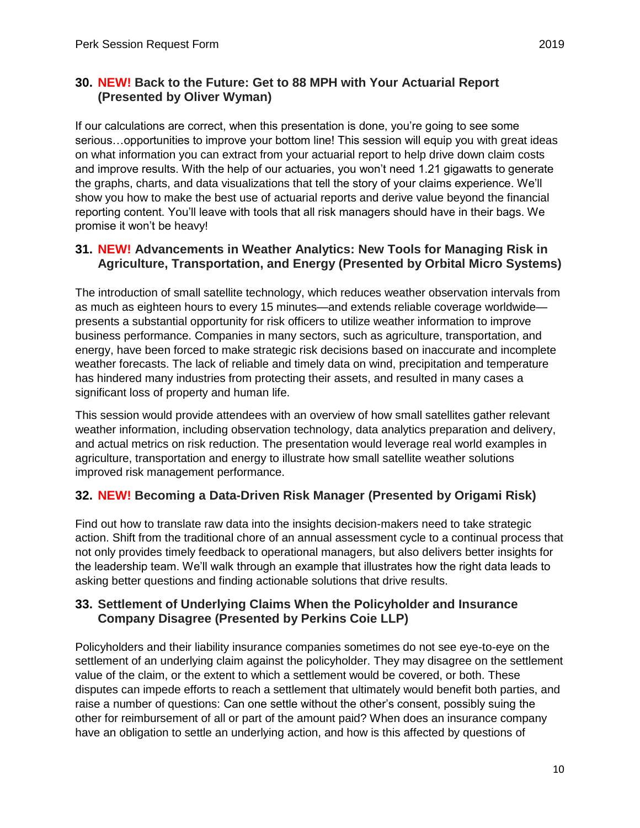## **30. NEW! Back to the Future: Get to 88 MPH with Your Actuarial Report (Presented by Oliver Wyman)**

If our calculations are correct, when this presentation is done, you're going to see some serious…opportunities to improve your bottom line! This session will equip you with great ideas on what information you can extract from your actuarial report to help drive down claim costs and improve results. With the help of our actuaries, you won't need 1.21 gigawatts to generate the graphs, charts, and data visualizations that tell the story of your claims experience. We'll show you how to make the best use of actuarial reports and derive value beyond the financial reporting content. You'll leave with tools that all risk managers should have in their bags. We promise it won't be heavy!

#### **31. NEW! Advancements in Weather Analytics: New Tools for Managing Risk in Agriculture, Transportation, and Energy (Presented by Orbital Micro Systems)**

The introduction of small satellite technology, which reduces weather observation intervals from as much as eighteen hours to every 15 minutes—and extends reliable coverage worldwide presents a substantial opportunity for risk officers to utilize weather information to improve business performance. Companies in many sectors, such as agriculture, transportation, and energy, have been forced to make strategic risk decisions based on inaccurate and incomplete weather forecasts. The lack of reliable and timely data on wind, precipitation and temperature has hindered many industries from protecting their assets, and resulted in many cases a significant loss of property and human life.

This session would provide attendees with an overview of how small satellites gather relevant weather information, including observation technology, data analytics preparation and delivery, and actual metrics on risk reduction. The presentation would leverage real world examples in agriculture, transportation and energy to illustrate how small satellite weather solutions improved risk management performance.

# **32. NEW! Becoming a Data-Driven Risk Manager (Presented by Origami Risk)**

Find out how to translate raw data into the insights decision-makers need to take strategic action. Shift from the traditional chore of an annual assessment cycle to a continual process that not only provides timely feedback to operational managers, but also delivers better insights for the leadership team. We'll walk through an example that illustrates how the right data leads to asking better questions and finding actionable solutions that drive results.

#### **33. Settlement of Underlying Claims When the Policyholder and Insurance Company Disagree (Presented by Perkins Coie LLP)**

Policyholders and their liability insurance companies sometimes do not see eye-to-eye on the settlement of an underlying claim against the policyholder. They may disagree on the settlement value of the claim, or the extent to which a settlement would be covered, or both. These disputes can impede efforts to reach a settlement that ultimately would benefit both parties, and raise a number of questions: Can one settle without the other's consent, possibly suing the other for reimbursement of all or part of the amount paid? When does an insurance company have an obligation to settle an underlying action, and how is this affected by questions of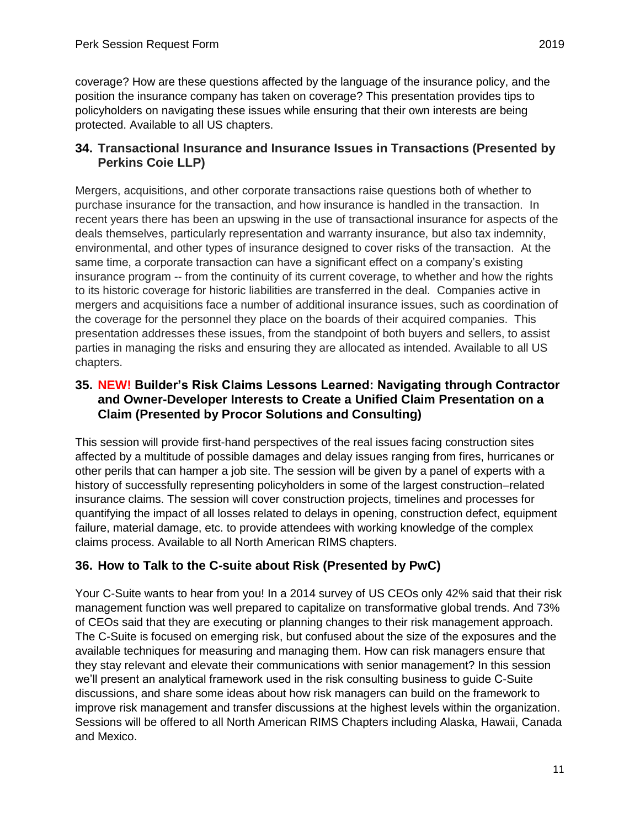coverage? How are these questions affected by the language of the insurance policy, and the position the insurance company has taken on coverage? This presentation provides tips to policyholders on navigating these issues while ensuring that their own interests are being protected. Available to all US chapters.

## **34. Transactional Insurance and Insurance Issues in Transactions (Presented by Perkins Coie LLP)**

Mergers, acquisitions, and other corporate transactions raise questions both of whether to purchase insurance for the transaction, and how insurance is handled in the transaction. In recent years there has been an upswing in the use of transactional insurance for aspects of the deals themselves, particularly representation and warranty insurance, but also tax indemnity, environmental, and other types of insurance designed to cover risks of the transaction. At the same time, a corporate transaction can have a significant effect on a company's existing insurance program -- from the continuity of its current coverage, to whether and how the rights to its historic coverage for historic liabilities are transferred in the deal. Companies active in mergers and acquisitions face a number of additional insurance issues, such as coordination of the coverage for the personnel they place on the boards of their acquired companies. This presentation addresses these issues, from the standpoint of both buyers and sellers, to assist parties in managing the risks and ensuring they are allocated as intended. Available to all US chapters.

## **35. NEW! Builder's Risk Claims Lessons Learned: Navigating through Contractor and Owner-Developer Interests to Create a Unified Claim Presentation on a Claim (Presented by Procor Solutions and Consulting)**

This session will provide first-hand perspectives of the real issues facing construction sites affected by a multitude of possible damages and delay issues ranging from fires, hurricanes or other perils that can hamper a job site. The session will be given by a panel of experts with a history of successfully representing policyholders in some of the largest construction–related insurance claims. The session will cover construction projects, timelines and processes for quantifying the impact of all losses related to delays in opening, construction defect, equipment failure, material damage, etc. to provide attendees with working knowledge of the complex claims process. Available to all North American RIMS chapters.

# **36. How to Talk to the C-suite about Risk (Presented by PwC)**

Your C-Suite wants to hear from you! In a 2014 survey of US CEOs only 42% said that their risk management function was well prepared to capitalize on transformative global trends. And 73% of CEOs said that they are executing or planning changes to their risk management approach. The C-Suite is focused on emerging risk, but confused about the size of the exposures and the available techniques for measuring and managing them. How can risk managers ensure that they stay relevant and elevate their communications with senior management? In this session we'll present an analytical framework used in the risk consulting business to guide C-Suite discussions, and share some ideas about how risk managers can build on the framework to improve risk management and transfer discussions at the highest levels within the organization. Sessions will be offered to all North American RIMS Chapters including Alaska, Hawaii, Canada and Mexico.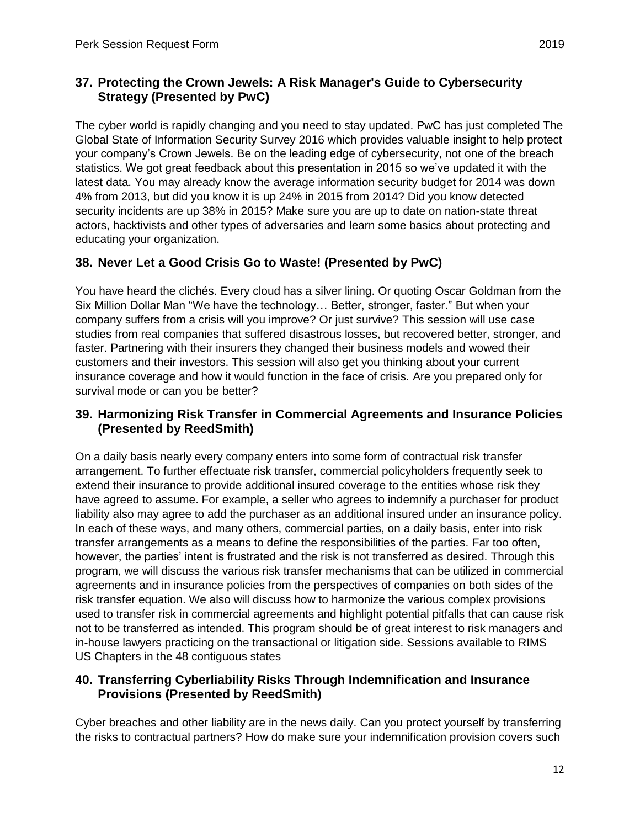The cyber world is rapidly changing and you need to stay updated. PwC has just completed The Global State of Information Security Survey 2016 which provides valuable insight to help protect your company's Crown Jewels. Be on the leading edge of cybersecurity, not one of the breach statistics. We got great feedback about this presentation in 2015 so we've updated it with the latest data. You may already know the average information security budget for 2014 was down 4% from 2013, but did you know it is up 24% in 2015 from 2014? Did you know detected security incidents are up 38% in 2015? Make sure you are up to date on nation-state threat actors, hacktivists and other types of adversaries and learn some basics about protecting and educating your organization.

# **38. Never Let a Good Crisis Go to Waste! (Presented by PwC)**

You have heard the clichés. Every cloud has a silver lining. Or quoting Oscar Goldman from the Six Million Dollar Man "We have the technology… Better, stronger, faster." But when your company suffers from a crisis will you improve? Or just survive? This session will use case studies from real companies that suffered disastrous losses, but recovered better, stronger, and faster. Partnering with their insurers they changed their business models and wowed their customers and their investors. This session will also get you thinking about your current insurance coverage and how it would function in the face of crisis. Are you prepared only for survival mode or can you be better?

## **39. Harmonizing Risk Transfer in Commercial Agreements and Insurance Policies (Presented by ReedSmith)**

On a daily basis nearly every company enters into some form of contractual risk transfer arrangement. To further effectuate risk transfer, commercial policyholders frequently seek to extend their insurance to provide additional insured coverage to the entities whose risk they have agreed to assume. For example, a seller who agrees to indemnify a purchaser for product liability also may agree to add the purchaser as an additional insured under an insurance policy. In each of these ways, and many others, commercial parties, on a daily basis, enter into risk transfer arrangements as a means to define the responsibilities of the parties. Far too often, however, the parties' intent is frustrated and the risk is not transferred as desired. Through this program, we will discuss the various risk transfer mechanisms that can be utilized in commercial agreements and in insurance policies from the perspectives of companies on both sides of the risk transfer equation. We also will discuss how to harmonize the various complex provisions used to transfer risk in commercial agreements and highlight potential pitfalls that can cause risk not to be transferred as intended. This program should be of great interest to risk managers and in-house lawyers practicing on the transactional or litigation side. Sessions available to RIMS US Chapters in the 48 contiguous states

#### **40. Transferring Cyberliability Risks Through Indemnification and Insurance Provisions (Presented by ReedSmith)**

Cyber breaches and other liability are in the news daily. Can you protect yourself by transferring the risks to contractual partners? How do make sure your indemnification provision covers such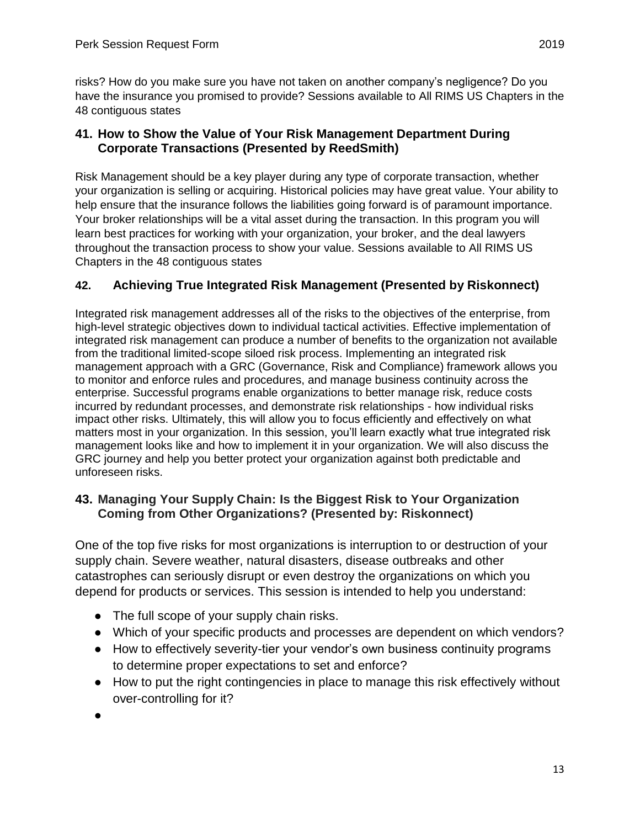risks? How do you make sure you have not taken on another company's negligence? Do you have the insurance you promised to provide? Sessions available to All RIMS US Chapters in the 48 contiguous states

## **41. How to Show the Value of Your Risk Management Department During Corporate Transactions (Presented by ReedSmith)**

Risk Management should be a key player during any type of corporate transaction, whether your organization is selling or acquiring. Historical policies may have great value. Your ability to help ensure that the insurance follows the liabilities going forward is of paramount importance. Your broker relationships will be a vital asset during the transaction. In this program you will learn best practices for working with your organization, your broker, and the deal lawyers throughout the transaction process to show your value. Sessions available to All RIMS US Chapters in the 48 contiguous states

## **42. Achieving True Integrated Risk Management (Presented by Riskonnect)**

Integrated risk management addresses all of the risks to the objectives of the enterprise, from high-level strategic objectives down to individual tactical activities. Effective implementation of integrated risk management can produce a number of benefits to the organization not available from the traditional limited-scope siloed risk process. Implementing an integrated risk management approach with a GRC (Governance, Risk and Compliance) framework allows you to monitor and enforce rules and procedures, and manage business continuity across the enterprise. Successful programs enable organizations to better manage risk, reduce costs incurred by redundant processes, and demonstrate risk relationships - how individual risks impact other risks. Ultimately, this will allow you to focus efficiently and effectively on what matters most in your organization. In this session, you'll learn exactly what true integrated risk management looks like and how to implement it in your organization. We will also discuss the GRC journey and help you better protect your organization against both predictable and unforeseen risks.

## **43. Managing Your Supply Chain: Is the Biggest Risk to Your Organization Coming from Other Organizations? (Presented by: Riskonnect)**

One of the top five risks for most organizations is interruption to or destruction of your supply chain. Severe weather, natural disasters, disease outbreaks and other catastrophes can seriously disrupt or even destroy the organizations on which you depend for products or services. This session is intended to help you understand:

- The full scope of your supply chain risks.
- Which of your specific products and processes are dependent on which vendors?
- How to effectively severity-tier your vendor's own business continuity programs to determine proper expectations to set and enforce?
- How to put the right contingencies in place to manage this risk effectively without over-controlling for it?
- ●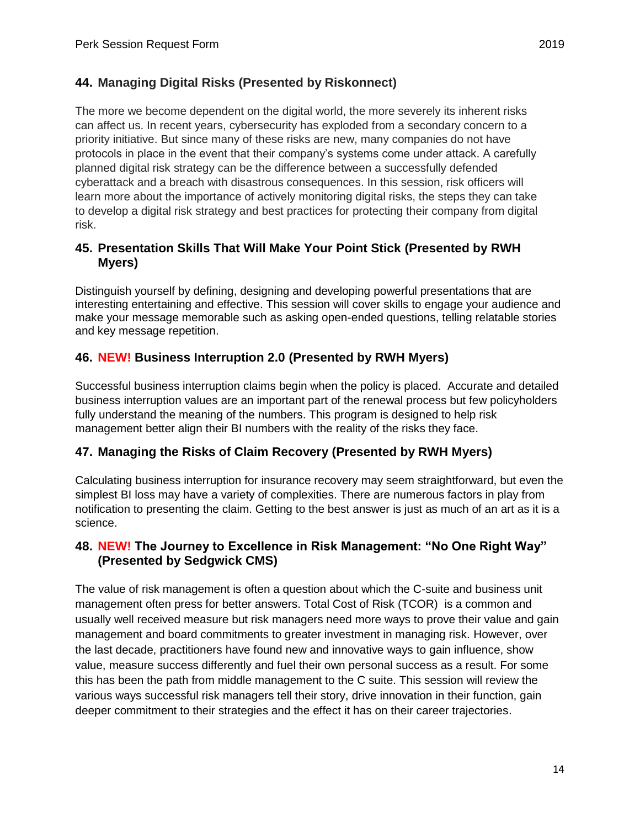The more we become dependent on the digital world, the more severely its inherent risks can affect us. In recent years, cybersecurity has exploded from a secondary concern to a priority initiative. But since many of these risks are new, many companies do not have protocols in place in the event that their company's systems come under attack. A carefully planned digital risk strategy can be the difference between a successfully defended cyberattack and a breach with disastrous consequences. In this session, risk officers will learn more about the importance of actively monitoring digital risks, the steps they can take to develop a digital risk strategy and best practices for protecting their company from digital risk.

## **45. Presentation Skills That Will Make Your Point Stick (Presented by RWH Myers)**

Distinguish yourself by defining, designing and developing powerful presentations that are interesting entertaining and effective. This session will cover skills to engage your audience and make your message memorable such as asking open-ended questions, telling relatable stories and key message repetition.

## **46. NEW! Business Interruption 2.0 (Presented by RWH Myers)**

Successful business interruption claims begin when the policy is placed. Accurate and detailed business interruption values are an important part of the renewal process but few policyholders fully understand the meaning of the numbers. This program is designed to help risk management better align their BI numbers with the reality of the risks they face.

#### **47. Managing the Risks of Claim Recovery (Presented by RWH Myers)**

Calculating business interruption for insurance recovery may seem straightforward, but even the simplest BI loss may have a variety of complexities. There are numerous factors in play from notification to presenting the claim. Getting to the best answer is just as much of an art as it is a science.

## **48. NEW! The Journey to Excellence in Risk Management: "No One Right Way" (Presented by Sedgwick CMS)**

The value of risk management is often a question about which the C-suite and business unit management often press for better answers. Total Cost of Risk (TCOR) is a common and usually well received measure but risk managers need more ways to prove their value and gain management and board commitments to greater investment in managing risk. However, over the last decade, practitioners have found new and innovative ways to gain influence, show value, measure success differently and fuel their own personal success as a result. For some this has been the path from middle management to the C suite. This session will review the various ways successful risk managers tell their story, drive innovation in their function, gain deeper commitment to their strategies and the effect it has on their career trajectories.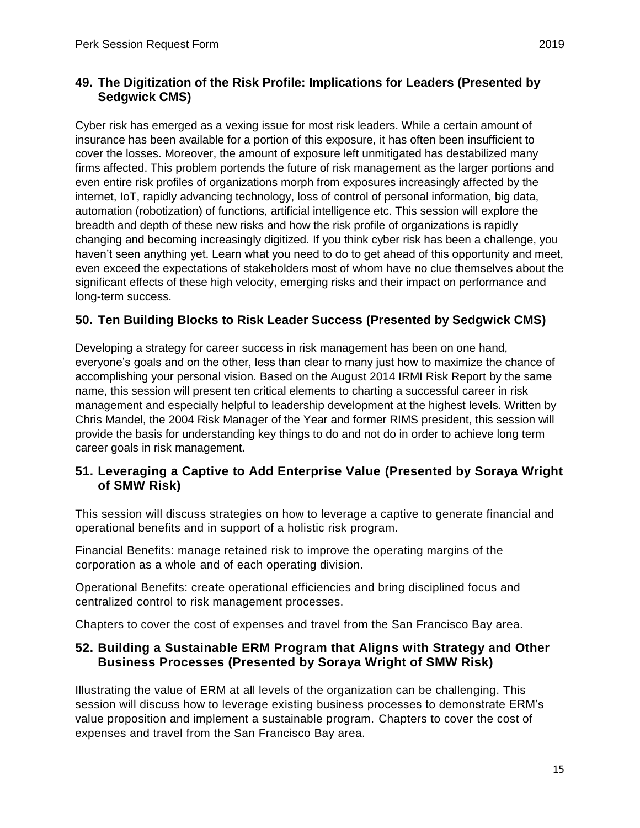## **49. The Digitization of the Risk Profile: Implications for Leaders (Presented by Sedgwick CMS)**

Cyber risk has emerged as a vexing issue for most risk leaders. While a certain amount of insurance has been available for a portion of this exposure, it has often been insufficient to cover the losses. Moreover, the amount of exposure left unmitigated has destabilized many firms affected. This problem portends the future of risk management as the larger portions and even entire risk profiles of organizations morph from exposures increasingly affected by the internet, IoT, rapidly advancing technology, loss of control of personal information, big data, automation (robotization) of functions, artificial intelligence etc. This session will explore the breadth and depth of these new risks and how the risk profile of organizations is rapidly changing and becoming increasingly digitized. If you think cyber risk has been a challenge, you haven't seen anything yet. Learn what you need to do to get ahead of this opportunity and meet, even exceed the expectations of stakeholders most of whom have no clue themselves about the significant effects of these high velocity, emerging risks and their impact on performance and long-term success.

## **50. Ten Building Blocks to Risk Leader Success (Presented by Sedgwick CMS)**

Developing a strategy for career success in risk management has been on one hand, everyone's goals and on the other, less than clear to many just how to maximize the chance of accomplishing your personal vision. Based on the August 2014 IRMI Risk Report by the same name, this session will present ten critical elements to charting a successful career in risk management and especially helpful to leadership development at the highest levels. Written by Chris Mandel, the 2004 Risk Manager of the Year and former RIMS president, this session will provide the basis for understanding key things to do and not do in order to achieve long term career goals in risk management**.** 

## **51. Leveraging a Captive to Add Enterprise Value (Presented by Soraya Wright of SMW Risk)**

This session will discuss strategies on how to leverage a captive to generate financial and operational benefits and in support of a holistic risk program.

Financial Benefits: manage retained risk to improve the operating margins of the corporation as a whole and of each operating division.

Operational Benefits: create operational efficiencies and bring disciplined focus and centralized control to risk management processes.

Chapters to cover the cost of expenses and travel from the San Francisco Bay area.

#### **52. Building a Sustainable ERM Program that Aligns with Strategy and Other Business Processes (Presented by Soraya Wright of SMW Risk)**

Illustrating the value of ERM at all levels of the organization can be challenging. This session will discuss how to leverage existing business processes to demonstrate ERM's value proposition and implement a sustainable program. Chapters to cover the cost of expenses and travel from the San Francisco Bay area.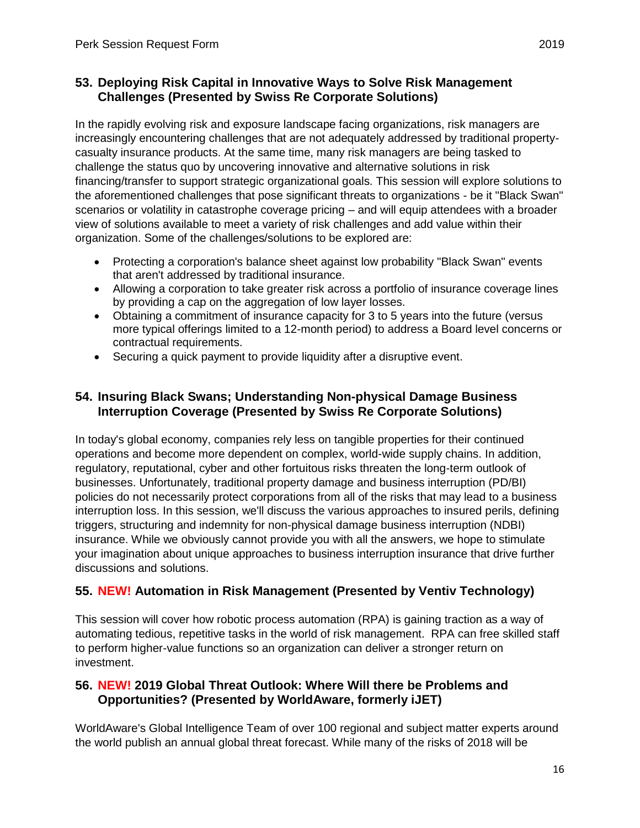## **53. Deploying Risk Capital in Innovative Ways to Solve Risk Management Challenges (Presented by Swiss Re Corporate Solutions)**

In the rapidly evolving risk and exposure landscape facing organizations, risk managers are increasingly encountering challenges that are not adequately addressed by traditional propertycasualty insurance products. At the same time, many risk managers are being tasked to challenge the status quo by uncovering innovative and alternative solutions in risk financing/transfer to support strategic organizational goals. This session will explore solutions to the aforementioned challenges that pose significant threats to organizations - be it "Black Swan" scenarios or volatility in catastrophe coverage pricing – and will equip attendees with a broader view of solutions available to meet a variety of risk challenges and add value within their organization. Some of the challenges/solutions to be explored are:

- Protecting a corporation's balance sheet against low probability "Black Swan" events that aren't addressed by traditional insurance.
- Allowing a corporation to take greater risk across a portfolio of insurance coverage lines by providing a cap on the aggregation of low layer losses.
- Obtaining a commitment of insurance capacity for 3 to 5 years into the future (versus more typical offerings limited to a 12-month period) to address a Board level concerns or contractual requirements.
- Securing a quick payment to provide liquidity after a disruptive event.

## **54. Insuring Black Swans; Understanding Non-physical Damage Business Interruption Coverage (Presented by Swiss Re Corporate Solutions)**

In today's global economy, companies rely less on tangible properties for their continued operations and become more dependent on complex, world-wide supply chains. In addition, regulatory, reputational, cyber and other fortuitous risks threaten the long-term outlook of businesses. Unfortunately, traditional property damage and business interruption (PD/BI) policies do not necessarily protect corporations from all of the risks that may lead to a business interruption loss. In this session, we'll discuss the various approaches to insured perils, defining triggers, structuring and indemnity for non-physical damage business interruption (NDBI) insurance. While we obviously cannot provide you with all the answers, we hope to stimulate your imagination about unique approaches to business interruption insurance that drive further discussions and solutions.

#### **55. NEW! Automation in Risk Management (Presented by Ventiv Technology)**

This session will cover how robotic process automation (RPA) is gaining traction as a way of automating tedious, repetitive tasks in the world of risk management. RPA can free skilled staff to perform higher-value functions so an organization can deliver a stronger return on investment.

## **56. NEW! 2019 Global Threat Outlook: Where Will there be Problems and Opportunities? (Presented by WorldAware, formerly iJET)**

WorldAware's Global Intelligence Team of over 100 regional and subject matter experts around the world publish an annual global threat forecast. While many of the risks of 2018 will be